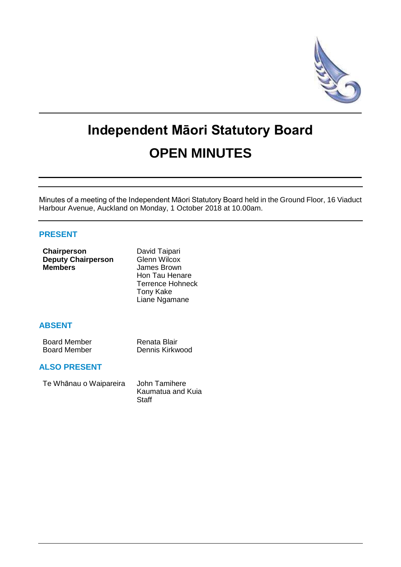

# **Independent Māori Statutory Board OPEN MINUTES**

Minutes of a meeting of the Independent Māori Statutory Board held in the Ground Floor, 16 Viaduct Harbour Avenue, Auckland on Monday, 1 October 2018 at 10.00am.

# **PRESENT**

| Chairperson<br><b>Deputy Chairperson</b><br><b>Members</b> | David Taipari<br><b>Glenn Wilcox</b><br>James Brown<br>Hon Tau Henare<br><b>Terrence Hohneck</b><br><b>Tony Kake</b><br>Liane Ngamane |
|------------------------------------------------------------|---------------------------------------------------------------------------------------------------------------------------------------|
| <b>ABSENT</b>                                              |                                                                                                                                       |

| <b>Board Member</b> | Renata Blair    |
|---------------------|-----------------|
| <b>Board Member</b> | Dennis Kirkwood |

### **ALSO PRESENT**

Te Whānau o Waipareira John Tamihere

Kaumatua and Kuia **Staff**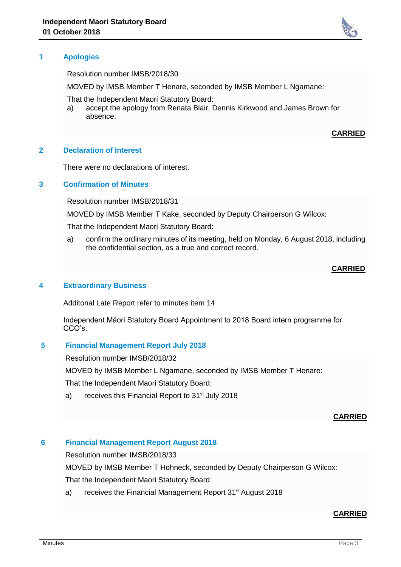

Resolution number IMSB/2018/30

MOVED by IMSB Member T Henare, seconded by IMSB Member L Ngamane:

That the Independent Maori Statutory Board:

a) accept the apology from Renata Blair, Dennis Kirkwood and James Brown for absence.

#### **CARRIED**

#### **2 Declaration of Interest**

There were no declarations of interest.

#### **3 Confirmation of Minutes**

Resolution number IMSB/2018/31

MOVED by IMSB Member T Kake, seconded by Deputy Chairperson G Wilcox:

That the Independent Maori Statutory Board:

a) confirm the ordinary minutes of its meeting, held on Monday, 6 August 2018, including the confidential section, as a true and correct record.

#### **CARRIED**

#### **4 Extraordinary Business**

Additonal Late Report refer to minutes item 14

Independent Māori Statutory Board Appointment to 2018 Board intern programme for CCO's.

#### **5 Financial Management Report July 2018**

Resolution number IMSB/2018/32

MOVED by IMSB Member L Ngamane, seconded by IMSB Member T Henare:

That the Independent Maori Statutory Board:

a) receives this Financial Report to 31<sup>st</sup> July 2018

#### **CARRIED**

#### **6 Financial Management Report August 2018**

Resolution number IMSB/2018/33

MOVED by IMSB Member T Hohneck, seconded by Deputy Chairperson G Wilcox:

That the Independent Maori Statutory Board:

a) receives the Financial Management Report 31<sup>st</sup> August 2018

#### **CARRIED**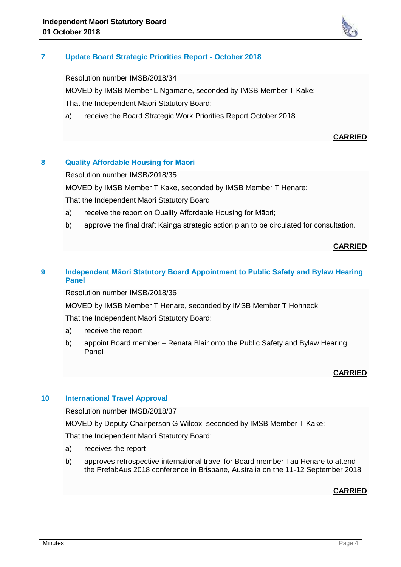

# **7 Update Board Strategic Priorities Report - October 2018**

Resolution number IMSB/2018/34

MOVED by IMSB Member L Ngamane, seconded by IMSB Member T Kake: That the Independent Maori Statutory Board:

a) receive the Board Strategic Work Priorities Report October 2018

### **CARRIED**

# **8 Quality Affordable Housing for Māori**

Resolution number IMSB/2018/35

MOVED by IMSB Member T Kake, seconded by IMSB Member T Henare:

That the Independent Maori Statutory Board:

- a) receive the report on Quality Affordable Housing for Māori;
- b) approve the final draft Kainga strategic action plan to be circulated for consultation.

#### **CARRIED**

# **9 Independent Māori Statutory Board Appointment to Public Safety and Bylaw Hearing Panel**

Resolution number IMSB/2018/36

MOVED by IMSB Member T Henare, seconded by IMSB Member T Hohneck:

That the Independent Maori Statutory Board:

- a) receive the report
- b) appoint Board member Renata Blair onto the Public Safety and Bylaw Hearing Panel

#### **CARRIED**

#### **10 International Travel Approval**

Resolution number IMSB/2018/37

MOVED by Deputy Chairperson G Wilcox, seconded by IMSB Member T Kake:

That the Independent Maori Statutory Board:

- a) receives the report
- b) approves retrospective international travel for Board member Tau Henare to attend the PrefabAus 2018 conference in Brisbane, Australia on the 11-12 September 2018

#### **CARRIED**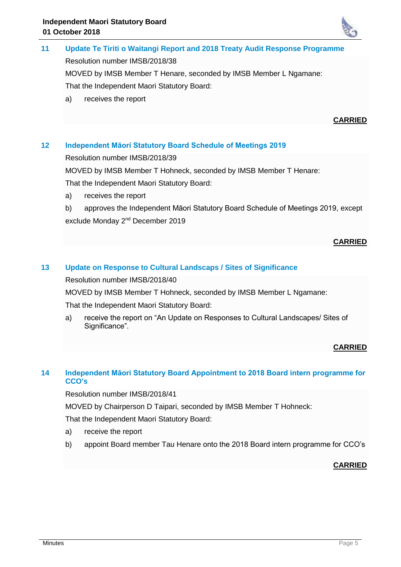

**11 Update Te Tiriti o Waitangi Report and 2018 Treaty Audit Response Programme** Resolution number IMSB/2018/38 MOVED by IMSB Member T Henare, seconded by IMSB Member L Ngamane: That the Independent Maori Statutory Board: a) receives the report

#### **CARRIED**

# **12 Independent Māori Statutory Board Schedule of Meetings 2019**

Resolution number IMSB/2018/39

MOVED by IMSB Member T Hohneck, seconded by IMSB Member T Henare:

That the Independent Maori Statutory Board:

a) receives the report

b) approves the Independent Māori Statutory Board Schedule of Meetings 2019, except exclude Monday 2<sup>nd</sup> December 2019

#### **CARRIED**

# **13 Update on Response to Cultural Landscaps / Sites of Significance**

Resolution number IMSB/2018/40

MOVED by IMSB Member T Hohneck, seconded by IMSB Member L Ngamane:

That the Independent Maori Statutory Board:

a) receive the report on "An Update on Responses to Cultural Landscapes/ Sites of Significance".

#### **CARRIED**

# **14 Independent Māori Statutory Board Appointment to 2018 Board intern programme for CCO's**

Resolution number IMSB/2018/41

MOVED by Chairperson D Taipari, seconded by IMSB Member T Hohneck:

That the Independent Maori Statutory Board:

- a) receive the report
- b) appoint Board member Tau Henare onto the 2018 Board intern programme for CCO's

**CARRIED**